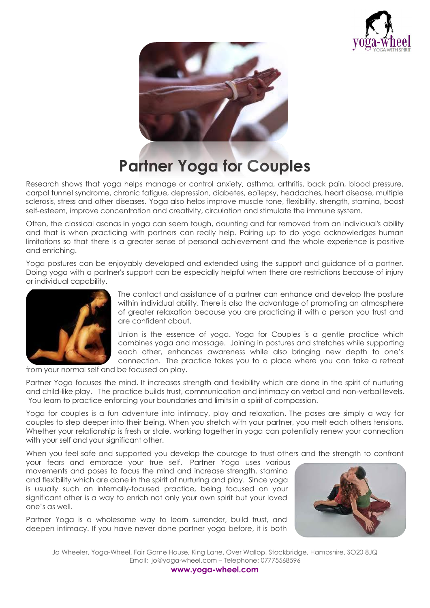



## **Partner Yoga for Couples**

Research shows that yoga helps manage or control anxiety, asthma, arthritis, back pain, blood pressure, carpal tunnel syndrome, chronic fatigue, depression, diabetes, epilepsy, headaches, heart disease, multiple sclerosis, stress and other diseases. Yoga also helps improve muscle tone, flexibility, strength, stamina, boost self-esteem, improve concentration and creativity, circulation and stimulate the immune system.

Often, the classical asanas in yoga can seem tough, daunting and far removed from an individual's ability and that is when practicing with partners can really help. Pairing up to do yoga acknowledges human limitations so that there is a greater sense of personal achievement and the whole experience is positive and enriching.

Yoga postures can be enjoyably developed and extended using the support and guidance of a partner. Doing yoga with a partner's support can be especially helpful when there are restrictions because of injury or individual capability.



The contact and assistance of a partner can enhance and develop the posture within individual ability. There is also the advantage of promoting an atmosphere of greater relaxation because you are practicing it with a person you trust and are confident about.

Union is the essence of yoga. Yoga for Couples is a gentle practice which combines yoga and massage. Joining in postures and stretches while supporting each other, enhances awareness while also bringing new depth to one's connection. The practice takes you to a place where you can take a retreat

from your normal self and be focused on play.

Partner Yoga focuses the mind. It increases strength and flexibility which are done in the spirit of nurturing and child-like play. The practice builds trust, communication and intimacy on verbal and non-verbal levels. You learn to practice enforcing your boundaries and limits in a spirit of compassion.

Yoga for couples is a fun adventure into intimacy, play and relaxation. The poses are simply a way for couples to step deeper into their being. When you stretch with your partner, you melt each others tensions. Whether your relationship is fresh or stale, working together in yoga can potentially renew your connection with your self and your significant other.

When you feel safe and supported you develop the courage to trust others and the strength to confront

your fears and embrace your true self. Partner Yoga uses various movements and poses to focus the mind and increase strength, stamina and flexibility which are done in the spirit of nurturing and play. Since yoga is usually such an internally-focused practice, being focused on your significant other is a way to enrich not only your own spirit but your loved one's as well.

Partner Yoga is a wholesome way to learn surrender, build trust, and deepen intimacy. If you have never done partner yoga before, it is both



Jo Wheeler, Yoga-Wheel, Fair Game House, King Lane, Over Wallop, Stockbridge, Hampshire, SO20 8JQ Email: jo@yoga-wheel.com – Telephone: 07775568596